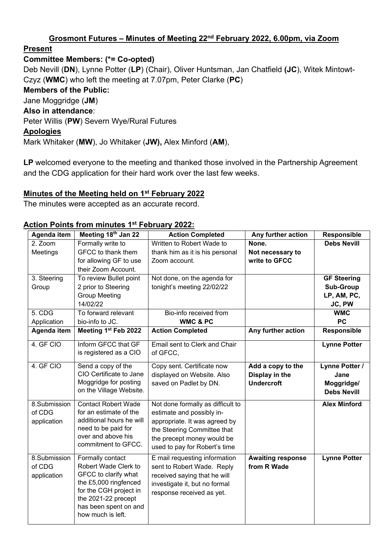#### **Grosmont Futures – Minutes of Meeting 22nd February 2022, 6.00pm, via Zoom**

#### **Present**

### **Committee Members: (\*= Co-opted)**

Deb Nevill (**DN**), Lynne Potter (**LP**) (Chair), Oliver Huntsman, Jan Chatfield **(JC**), Witek Mintowt-Czyz (**WMC**) who left the meeting at 7.07pm, Peter Clarke (**PC**) **Members of the Public:** Jane Moggridge (**JM**) **Also in attendance**: Peter Willis (**PW**) Severn Wye/Rural Futures **Apologies** Mark Whitaker (**MW**), Jo Whitaker (**JW),** Alex Minford (**AM**),

LP welcomed everyone to the meeting and thanked those involved in the Partnership Agreement and the CDG application for their hard work over the last few weeks.

### **Minutes of the Meeting held on 1st February 2022**

The minutes were accepted as an accurate record.

#### **Action Points from minutes 1st February 2022:**

| Agenda item  | Meeting 18th Jan 22        | <b>Action Completed</b>           | Any further action       | Responsible         |
|--------------|----------------------------|-----------------------------------|--------------------------|---------------------|
| 2. Zoom      | Formally write to          | Written to Robert Wade to         | None.                    | <b>Debs Nevill</b>  |
| Meetings     | GFCC to thank them         | thank him as it is his personal   | Not necessary to         |                     |
|              | for allowing GF to use     | Zoom account.                     | write to GFCC            |                     |
|              | their Zoom Account.        |                                   |                          |                     |
| 3. Steering  | To review Bullet point     | Not done, on the agenda for       |                          | <b>GF Steering</b>  |
| Group        | 2 prior to Steering        | tonight's meeting 22/02/22        |                          | <b>Sub-Group</b>    |
|              | <b>Group Meeting</b>       |                                   |                          | LP, AM, PC,         |
|              | 14/02/22                   |                                   |                          | JC, PW              |
| 5. CDG       | To forward relevant        | Bio-info received from            |                          | <b>WMC</b>          |
| Application  | bio-info to JC.            | <b>WMC &amp; PC</b>               |                          | <b>PC</b>           |
| Agenda item  | Meeting 1st Feb 2022       | <b>Action Completed</b>           | Any further action       | Responsible         |
| 4. GF CIO    | Inform GFCC that GF        | Email sent to Clerk and Chair     |                          | <b>Lynne Potter</b> |
|              | is registered as a CIO     | of GFCC,                          |                          |                     |
| 4. GF CIO    | Send a copy of the         | Copy sent. Certificate now        | Add a copy to the        | Lynne Potter /      |
|              | CIO Certificate to Jane    | displayed on Website. Also        | Display in the           | Jane                |
|              | Moggridge for posting      | saved on Padlet by DN.            | <b>Undercroft</b>        | Moggridge/          |
|              | on the Village Website.    |                                   |                          | <b>Debs Nevill</b>  |
| 8.Submission | <b>Contact Robert Wade</b> | Not done formally as difficult to |                          | <b>Alex Minford</b> |
| of CDG       | for an estimate of the     | estimate and possibly in-         |                          |                     |
| application  | additional hours he will   | appropriate. It was agreed by     |                          |                     |
|              | need to be paid for        | the Steering Committee that       |                          |                     |
|              | over and above his         | the precept money would be        |                          |                     |
|              | commitment to GFCC.        | used to pay for Robert's time     |                          |                     |
| 8.Submission | Formally contact           | E mail requesting information     | <b>Awaiting response</b> | <b>Lynne Potter</b> |
| of CDG       | Robert Wade Clerk to       | sent to Robert Wade. Reply        | from R Wade              |                     |
| application  | GFCC to clarify what       | received saying that he will      |                          |                     |
|              | the £5,000 ringfenced      | investigate it, but no formal     |                          |                     |
|              | for the CGH project in     | response received as yet.         |                          |                     |
|              | the 2021-22 precept        |                                   |                          |                     |
|              | has been spent on and      |                                   |                          |                     |
|              | how much is left.          |                                   |                          |                     |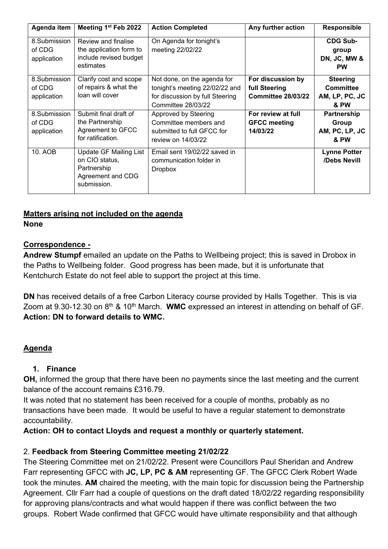| Agenda item                           | Meeting 1st Feb 2022                                                                               | <b>Action Completed</b>                                                                                                | Any further action                                              | <b>Responsible</b>                                            |
|---------------------------------------|----------------------------------------------------------------------------------------------------|------------------------------------------------------------------------------------------------------------------------|-----------------------------------------------------------------|---------------------------------------------------------------|
| 8.Submission<br>of CDG<br>application | Review and finalise<br>the application form to<br>include revised budget<br>estimates              | On Agenda for tonight's<br>meeting 22/02/22                                                                            |                                                                 | <b>CDG Sub-</b><br>group<br>DN, JC, MW &<br><b>PW</b>         |
| 8.Submission<br>of CDG<br>application | Clarify cost and scope<br>of repairs & what the<br>loan will cover                                 | Not done, on the agenda for<br>tonight's meeting 22/02/22 and<br>for discussion by full Steering<br>Committee 28/03/22 | For discussion by<br>full Steering<br><b>Committee 28/03/22</b> | <b>Steering</b><br><b>Committee</b><br>AM, LP, PC, JC<br>& PW |
| 8.Submission<br>of CDG<br>application | Submit final draft of<br>the Partnership<br>Agreement to GFCC<br>for ratification.                 | Approved by Steering<br>Committee members and<br>submitted to full GFCC for<br>review on 14/03/22                      | For review at full<br><b>GFCC meeting</b><br>14/03/22           | Partnership<br>Group<br>AM, PC, LP, JC<br>& PW                |
| 10. AOB                               | <b>Update GF Mailing List</b><br>on CIO status,<br>Partnership<br>Agreement and CDG<br>submission. | Email sent 19/02/22 saved in<br>communication folder in<br><b>Dropbox</b>                                              |                                                                 | <b>Lynne Potter</b><br>/Debs Nevill                           |

### **Matters arising not included on the agenda**

#### **None**

#### **Correspondence -**

Andrew Stumpf emailed an update on the Paths to Wellbeing project; this is saved in Drobox in the Paths to Wellbeing folder. Good progress has been made, but it is unfortunate that Kentchurch Estate do not feel able to support the project at this time.

**DN** has received details of a free Carbon Literacy course provided by Halls Together. This is via Zoom at 9.30-12.30 on 8th & 10th March. **WMC** expressed an interest in attending on behalf of GF. **Action: DN to forward details to WMC.**

### **Agenda**

#### **1. Finance**

**OH,** informed the group that there have been no payments since the last meeting and the current balance of the account remains £316.79.

It was noted that no statement has been received for a couple of months, probably as no transactions have been made. It would be useful to have a regular statement to demonstrate accountability.

### **Action: OH to contact Lloyds and request a monthly or quarterly statement.**

### 2. **Feedback from Steering Committee meeting 21/02/22**

The Steering Committee met on 21/02/22. Present were Councillors Paul Sheridan and Andrew Farr representing GFCC with **JC, LP, PC & AM** representing GF. The GFCC Clerk Robert Wade took the minutes. **AM** chaired the meeting, with the main topic for discussion being the Partnership Agreement. Cllr Farr had a couple of questions on the draft dated 18/02/22 regarding responsibility for approving plans/contracts and what would happen if there was conflict between the two groups. Robert Wade confirmed that GFCC would have ultimate responsibility and that although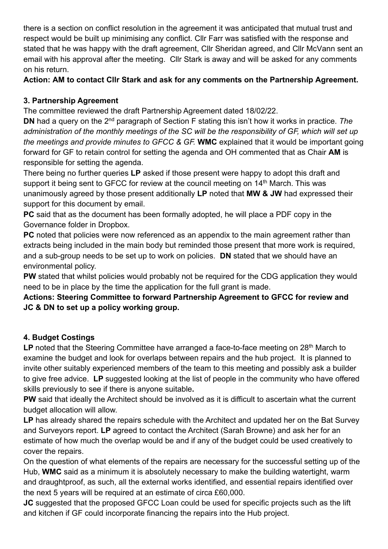there is a section on conflict resolution in the agreement it was anticipated that mutual trust and respect would be built up minimising any conflict. Cllr Farr was satisfied with the response and stated that he was happy with the draft agreement, Cllr Sheridan agreed, and Cllr McVann sent an email with his approval after the meeting. Cllr Stark is away and will be asked for any comments on his return.

**Action: AM to contact Cllr Stark and ask for any comments on the Partnership Agreement.**

# **3. Partnership Agreement**

The committee reviewed the draft Partnership Agreement dated 18/02/22.

**DN** had a query on the 2<sup>nd</sup> paragraph of Section F stating this isn't how it works in practice. The *administration of the monthly meetings of the SC will be the responsibility of GF, which will set up the meetings and provide minutes to GFCC & GF.* **WMC** explained that it would be important going forward for GF to retain control for setting the agenda and OH commented that as Chair **AM** is responsible for setting the agenda.

There being no further queries **LP** asked if those present were happy to adopt this draft and support it being sent to GFCC for review at the council meeting on 14<sup>th</sup> March. This was unanimously agreed by those present additionally **LP** noted that **MW & JW** had expressed their support for this document by email.

**PC** said that as the document has been formally adopted, he will place a PDF copy in the Governance folder in Dropbox.

**PC** noted that policies were now referenced as an appendix to the main agreement rather than extracts being included in the main body but reminded those present that more work is required, and a sub-group needs to be set up to work on policies. **DN** stated that we should have an environmental policy.

**PW** stated that whilst policies would probably not be required for the CDG application they would need to be in place by the time the application for the full grant is made.

**Actions: Steering Committee to forward Partnership Agreement to GFCC for review and JC & DN to set up a policy working group.**

# **4. Budget Costings**

LP noted that the Steering Committee have arranged a face-to-face meeting on 28<sup>th</sup> March to examine the budget and look for overlaps between repairs and the hub project.It is planned to invite other suitably experienced members of the team to this meeting and possibly ask a builder to give free advice. **LP** suggested looking at the list of people in the community who have offered skills previously to see if there is anyone suitable**.** 

**PW** said that ideally the Architect should be involved as it is difficult to ascertain what the current budget allocation will allow.

**LP** has already shared the repairs schedule with the Architect and updated her on the Bat Survey and Surveyors report. **LP** agreed to contact the Architect (Sarah Browne) and ask her for an estimate of how much the overlap would be and if any of the budget could be used creatively to cover the repairs.

On the question of what elements of the repairs are necessary for the successful setting up of the Hub, **WMC** said as a minimum it is absolutely necessary to make the building watertight, warm and draughtproof, as such, all the external works identified, and essential repairs identified over the next 5 years will be required at an estimate of circa £60,000.

**JC** suggested that the proposed GFCC Loan could be used for specific projects such as the lift and kitchen if GF could incorporate financing the repairs into the Hub project.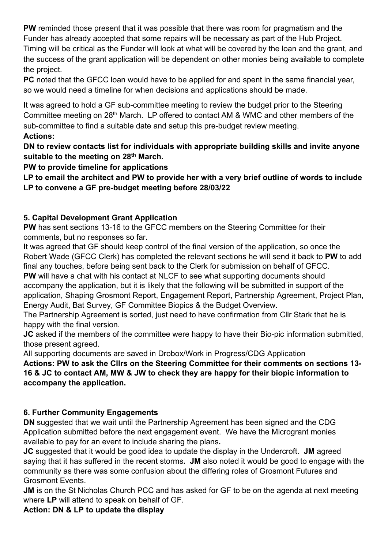**PW** reminded those present that it was possible that there was room for pragmatism and the Funder has already accepted that some repairs will be necessary as part of the Hub Project. Timing will be critical as the Funder will look at what will be covered by the loan and the grant, and the success of the grant application will be dependent on other monies being available to complete the project.

**PC** noted that the GFCC loan would have to be applied for and spent in the same financial year, so we would need a timeline for when decisions and applications should be made.

It was agreed to hold a GF sub-committee meeting to review the budget prior to the Steering Committee meeting on 28th March. LP offered to contact AM & WMC and other members of the sub-committee to find a suitable date and setup this pre-budget review meeting.

#### **Actions:**

**DN to review contacts list for individuals with appropriate building skills and invite anyone suitable to the meeting on 28th March.** 

**PW to provide timeline for applications** 

**LP to email the architect and PW to provide her with a very brief outline of words to include LP to convene a GF pre-budget meeting before 28/03/22** 

# **5. Capital Development Grant Application**

**PW** has sent sections 13-16 to the GFCC members on the Steering Committee for their comments, but no responses so far.

It was agreed that GF should keep control of the final version of the application, so once the Robert Wade (GFCC Clerk) has completed the relevant sections he will send it back to **PW** to add final any touches, before being sent back to the Clerk for submission on behalf of GFCC.

**PW** will have a chat with his contact at NLCF to see what supporting documents should accompany the application, but it is likely that the following will be submitted in support of the application, Shaping Grosmont Report, Engagement Report, Partnership Agreement, Project Plan, Energy Audit, Bat Survey, GF Committee Biopics & the Budget Overview.

The Partnership Agreement is sorted, just need to have confirmation from Cllr Stark that he is happy with the final version.

**JC** asked if the members of the committee were happy to have their Bio-pic information submitted, those present agreed.

All supporting documents are saved in Drobox/Work in Progress/CDG Application

**Actions: PW to ask the Cllrs on the Steering Committee for their comments on sections 13- 16 & JC to contact AM, MW & JW to check they are happy for their biopic information to accompany the application.** 

### **6. Further Community Engagements**

**DN** suggested that we wait until the Partnership Agreement has been signed and the CDG Application submitted before the next engagement event. We have the Microgrant monies available to pay for an event to include sharing the plans**.** 

**JC** suggested that it would be good idea to update the display in the Undercroft. **JM** agreed saying that it has suffered in the recent storms**. JM** also noted it would be good to engage with the community as there was some confusion about the differing roles of Grosmont Futures and Grosmont Events.

**JM** is on the St Nicholas Church PCC and has asked for GF to be on the agenda at next meeting where **LP** will attend to speak on behalf of GF.

**Action: DN & LP to update the display**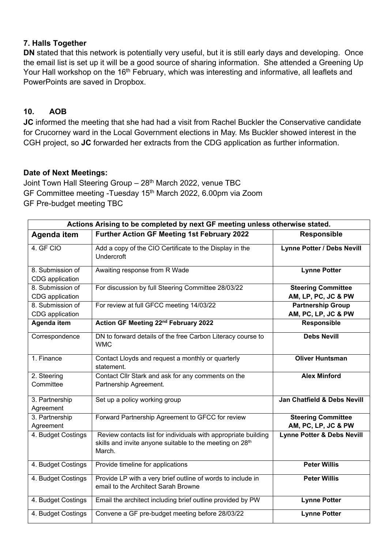#### **7. Halls Together**

**DN** stated that this network is potentially very useful, but it is still early days and developing. Once the email list is set up it will be a good source of sharing information. She attended a Greening Up Your Hall workshop on the 16<sup>th</sup> February, which was interesting and informative, all leaflets and PowerPoints are saved in Dropbox.

### **10. AOB**

**JC** informed the meeting that she had had a visit from Rachel Buckler the Conservative candidate for Crucorney ward in the Local Government elections in May. Ms Buckler showed interest in the CGH project, so **JC** forwarded her extracts from the CDG application as further information.

#### **Date of Next Meetings:**

Joint Town Hall Steering Group - 28<sup>th</sup> March 2022, venue TBC GF Committee meeting -Tuesday 15th March 2022, 6.00pm via Zoom GF Pre-budget meeting TBC

| Actions Arising to be completed by next GF meeting unless otherwise stated. |                                                                                                                                                  |                                                  |  |  |
|-----------------------------------------------------------------------------|--------------------------------------------------------------------------------------------------------------------------------------------------|--------------------------------------------------|--|--|
| Agenda item                                                                 | Further Action GF Meeting 1st February 2022                                                                                                      | <b>Responsible</b>                               |  |  |
| 4. GF CIO                                                                   | Add a copy of the CIO Certificate to the Display in the<br><b>Undercroft</b>                                                                     | <b>Lynne Potter / Debs Nevill</b>                |  |  |
| 8. Submission of<br>CDG application                                         | Awaiting response from R Wade                                                                                                                    | <b>Lynne Potter</b>                              |  |  |
| 8. Submission of<br>CDG application                                         | For discussion by full Steering Committee 28/03/22                                                                                               | <b>Steering Committee</b><br>AM, LP, PC, JC & PW |  |  |
| 8. Submission of<br>CDG application                                         | For review at full GFCC meeting 14/03/22                                                                                                         | <b>Partnership Group</b><br>AM, PC, LP, JC & PW  |  |  |
| Agenda item                                                                 | Action GF Meeting 22 <sup>nd</sup> February 2022                                                                                                 | Responsible                                      |  |  |
| Correspondence                                                              | DN to forward details of the free Carbon Literacy course to<br><b>WMC</b>                                                                        | <b>Debs Nevill</b>                               |  |  |
| 1. Finance                                                                  | Contact Lloyds and request a monthly or quarterly<br>statement.                                                                                  | <b>Oliver Huntsman</b>                           |  |  |
| 2. Steering                                                                 | Contact Cllr Stark and ask for any comments on the                                                                                               | <b>Alex Minford</b>                              |  |  |
| Committee                                                                   | Partnership Agreement.                                                                                                                           |                                                  |  |  |
| 3. Partnership<br>Agreement                                                 | Set up a policy working group                                                                                                                    | Jan Chatfield & Debs Nevill                      |  |  |
| 3. Partnership<br>Agreement                                                 | Forward Partnership Agreement to GFCC for review                                                                                                 | <b>Steering Committee</b><br>AM, PC, LP, JC & PW |  |  |
| 4. Budget Costings                                                          | Review contacts list for individuals with appropriate building<br>skills and invite anyone suitable to the meeting on 28 <sup>th</sup><br>March. | <b>Lynne Potter &amp; Debs Nevill</b>            |  |  |
| 4. Budget Costings                                                          | Provide timeline for applications                                                                                                                | <b>Peter Willis</b>                              |  |  |
| 4. Budget Costings                                                          | Provide LP with a very brief outline of words to include in<br>email to the Architect Sarah Browne                                               | <b>Peter Willis</b>                              |  |  |
| 4. Budget Costings                                                          | Email the architect including brief outline provided by PW                                                                                       | <b>Lynne Potter</b>                              |  |  |
| 4. Budget Costings                                                          | Convene a GF pre-budget meeting before 28/03/22                                                                                                  | <b>Lynne Potter</b>                              |  |  |